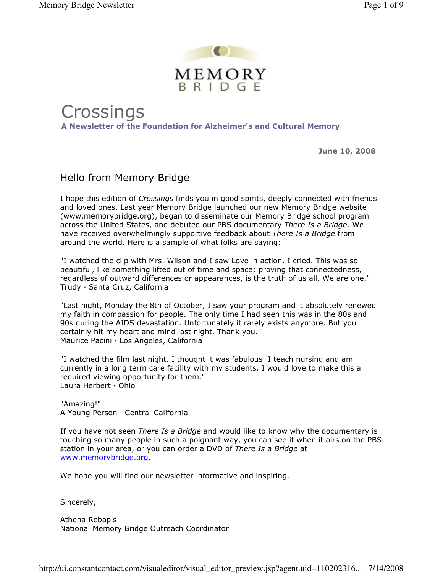

**Crossings** A Newsletter of the Foundation for Alzheimer's and Cultural Memory

June 10, 2008

## Hello from Memory Bridge

I hope this edition of Crossings finds you in good spirits, deeply connected with friends and loved ones. Last year Memory Bridge launched our new Memory Bridge website (www.memorybridge.org), began to disseminate our Memory Bridge school program across the United States, and debuted our PBS documentary There Is a Bridge. We have received overwhelmingly supportive feedback about There Is a Bridge from around the world. Here is a sample of what folks are saying:

"I watched the clip with Mrs. Wilson and I saw Love in action. I cried. This was so beautiful, like something lifted out of time and space; proving that connectedness, regardless of outward differences or appearances, is the truth of us all. We are one." Trudy · Santa Cruz, California

"Last night, Monday the 8th of October, I saw your program and it absolutely renewed my faith in compassion for people. The only time I had seen this was in the 80s and 90s during the AIDS devastation. Unfortunately it rarely exists anymore. But you certainly hit my heart and mind last night. Thank you." Maurice Pacini · Los Angeles, California

"I watched the film last night. I thought it was fabulous! I teach nursing and am currently in a long term care facility with my students. I would love to make this a required viewing opportunity for them." Laura Herbert · Ohio

"Amazing!" A Young Person · Central California

If you have not seen *There Is a Bridge* and would like to know why the documentary is touching so many people in such a poignant way, you can see it when it airs on the PBS station in your area, or you can order a DVD of There Is a Bridge at www.memorybridge.org.

We hope you will find our newsletter informative and inspiring.

Sincerely,

Athena Rebapis National Memory Bridge Outreach Coordinator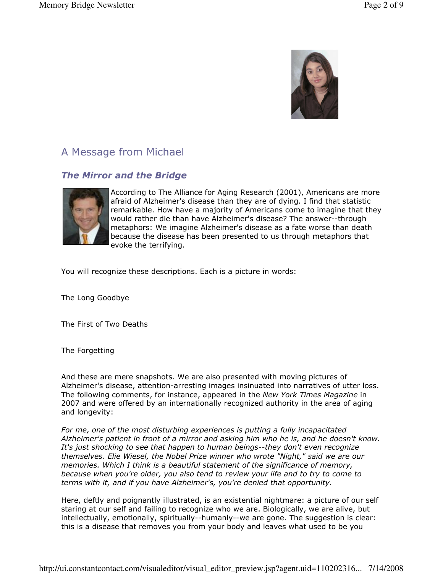

# A Message from Michael

## The Mirror and the Bridge



According to The Alliance for Aging Research (2001), Americans are more afraid of Alzheimer's disease than they are of dying. I find that statistic remarkable. How have a majority of Americans come to imagine that they would rather die than have Alzheimer's disease? The answer--through metaphors: We imagine Alzheimer's disease as a fate worse than death because the disease has been presented to us through metaphors that evoke the terrifying.

You will recognize these descriptions. Each is a picture in words:

The Long Goodbye

The First of Two Deaths

The Forgetting

And these are mere snapshots. We are also presented with moving pictures of Alzheimer's disease, attention-arresting images insinuated into narratives of utter loss. The following comments, for instance, appeared in the New York Times Magazine in 2007 and were offered by an internationally recognized authority in the area of aging and longevity:

For me, one of the most disturbing experiences is putting a fully incapacitated Alzheimer's patient in front of a mirror and asking him who he is, and he doesn't know. It's just shocking to see that happen to human beings--they don't even recognize themselves. Elie Wiesel, the Nobel Prize winner who wrote "Night," said we are our memories. Which I think is a beautiful statement of the significance of memory, because when you're older, you also tend to review your life and to try to come to terms with it, and if you have Alzheimer's, you're denied that opportunity.

Here, deftly and poignantly illustrated, is an existential nightmare: a picture of our self staring at our self and failing to recognize who we are. Biologically, we are alive, but intellectually, emotionally, spiritually--humanly--we are gone. The suggestion is clear: this is a disease that removes you from your body and leaves what used to be you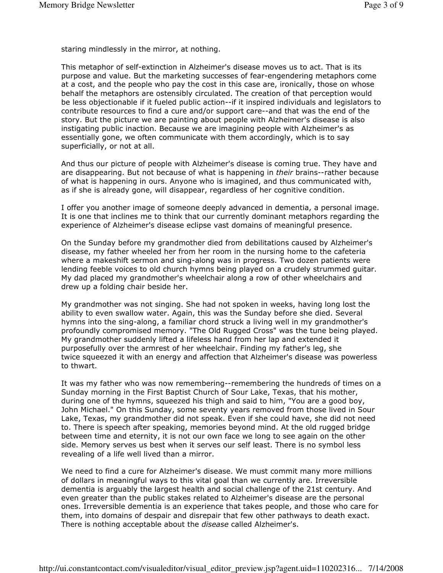staring mindlessly in the mirror, at nothing.

This metaphor of self-extinction in Alzheimer's disease moves us to act. That is its purpose and value. But the marketing successes of fear-engendering metaphors come at a cost, and the people who pay the cost in this case are, ironically, those on whose behalf the metaphors are ostensibly circulated. The creation of that perception would be less objectionable if it fueled public action--if it inspired individuals and legislators to contribute resources to find a cure and/or support care--and that was the end of the story. But the picture we are painting about people with Alzheimer's disease is also instigating public inaction. Because we are imagining people with Alzheimer's as essentially gone, we often communicate with them accordingly, which is to say superficially, or not at all.

And thus our picture of people with Alzheimer's disease is coming true. They have and are disappearing. But not because of what is happening in their brains--rather because of what is happening in ours. Anyone who is imagined, and thus communicated with, as if she is already gone, will disappear, regardless of her cognitive condition.

I offer you another image of someone deeply advanced in dementia, a personal image. It is one that inclines me to think that our currently dominant metaphors regarding the experience of Alzheimer's disease eclipse vast domains of meaningful presence.

On the Sunday before my grandmother died from debilitations caused by Alzheimer's disease, my father wheeled her from her room in the nursing home to the cafeteria where a makeshift sermon and sing-along was in progress. Two dozen patients were lending feeble voices to old church hymns being played on a crudely strummed guitar. My dad placed my grandmother's wheelchair along a row of other wheelchairs and drew up a folding chair beside her.

My grandmother was not singing. She had not spoken in weeks, having long lost the ability to even swallow water. Again, this was the Sunday before she died. Several hymns into the sing-along, a familiar chord struck a living well in my grandmother's profoundly compromised memory. "The Old Rugged Cross" was the tune being played. My grandmother suddenly lifted a lifeless hand from her lap and extended it purposefully over the armrest of her wheelchair. Finding my father's leg, she twice squeezed it with an energy and affection that Alzheimer's disease was powerless to thwart.

It was my father who was now remembering--remembering the hundreds of times on a Sunday morning in the First Baptist Church of Sour Lake, Texas, that his mother, during one of the hymns, squeezed his thigh and said to him, "You are a good boy, John Michael." On this Sunday, some seventy years removed from those lived in Sour Lake, Texas, my grandmother did not speak. Even if she could have, she did not need to. There is speech after speaking, memories beyond mind. At the old rugged bridge between time and eternity, it is not our own face we long to see again on the other side. Memory serves us best when it serves our self least. There is no symbol less revealing of a life well lived than a mirror.

We need to find a cure for Alzheimer's disease. We must commit many more millions of dollars in meaningful ways to this vital goal than we currently are. Irreversible dementia is arguably the largest health and social challenge of the 21st century. And even greater than the public stakes related to Alzheimer's disease are the personal ones. Irreversible dementia is an experience that takes people, and those who care for them, into domains of despair and disrepair that few other pathways to death exact. There is nothing acceptable about the disease called Alzheimer's.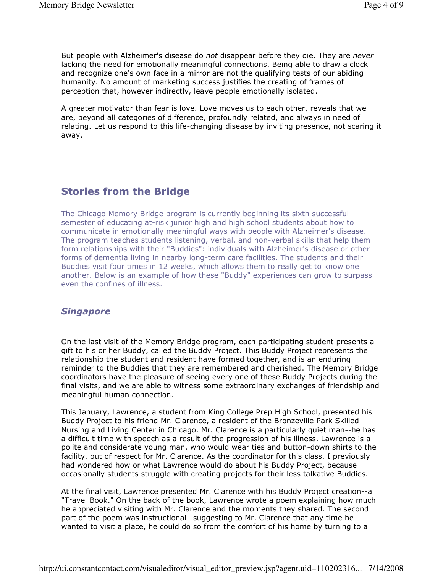But people with Alzheimer's disease do not disappear before they die. They are never lacking the need for emotionally meaningful connections. Being able to draw a clock and recognize one's own face in a mirror are not the qualifying tests of our abiding humanity. No amount of marketing success justifies the creating of frames of perception that, however indirectly, leave people emotionally isolated.

A greater motivator than fear is love. Love moves us to each other, reveals that we are, beyond all categories of difference, profoundly related, and always in need of relating. Let us respond to this life-changing disease by inviting presence, not scaring it away.

## Stories from the Bridge

The Chicago Memory Bridge program is currently beginning its sixth successful semester of educating at-risk junior high and high school students about how to communicate in emotionally meaningful ways with people with Alzheimer's disease. The program teaches students listening, verbal, and non-verbal skills that help them form relationships with their "Buddies": individuals with Alzheimer's disease or other forms of dementia living in nearby long-term care facilities. The students and their Buddies visit four times in 12 weeks, which allows them to really get to know one another. Below is an example of how these "Buddy" experiences can grow to surpass even the confines of illness.

### **Singapore**

On the last visit of the Memory Bridge program, each participating student presents a gift to his or her Buddy, called the Buddy Project. This Buddy Project represents the relationship the student and resident have formed together, and is an enduring reminder to the Buddies that they are remembered and cherished. The Memory Bridge coordinators have the pleasure of seeing every one of these Buddy Projects during the final visits, and we are able to witness some extraordinary exchanges of friendship and meaningful human connection.

This January, Lawrence, a student from King College Prep High School, presented his Buddy Project to his friend Mr. Clarence, a resident of the Bronzeville Park Skilled Nursing and Living Center in Chicago. Mr. Clarence is a particularly quiet man--he has a difficult time with speech as a result of the progression of his illness. Lawrence is a polite and considerate young man, who would wear ties and button-down shirts to the facility, out of respect for Mr. Clarence. As the coordinator for this class, I previously had wondered how or what Lawrence would do about his Buddy Project, because occasionally students struggle with creating projects for their less talkative Buddies.

At the final visit, Lawrence presented Mr. Clarence with his Buddy Project creation--a "Travel Book." On the back of the book, Lawrence wrote a poem explaining how much he appreciated visiting with Mr. Clarence and the moments they shared. The second part of the poem was instructional--suggesting to Mr. Clarence that any time he wanted to visit a place, he could do so from the comfort of his home by turning to a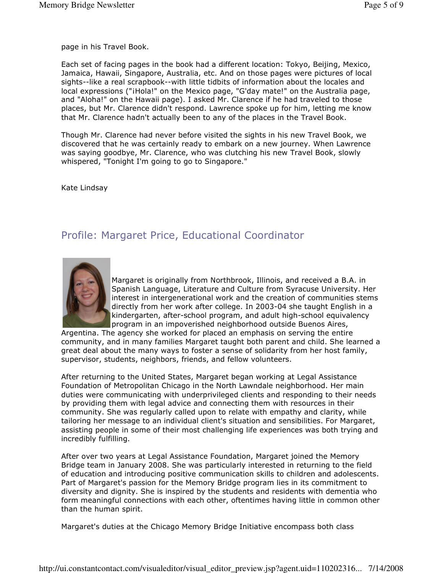page in his Travel Book.

Each set of facing pages in the book had a different location: Tokyo, Beijing, Mexico, Jamaica, Hawaii, Singapore, Australia, etc. And on those pages were pictures of local sights--like a real scrapbook--with little tidbits of information about the locales and local expressions ("iHola!" on the Mexico page, "G'day mate!" on the Australia page, and "Aloha!" on the Hawaii page). I asked Mr. Clarence if he had traveled to those places, but Mr. Clarence didn't respond. Lawrence spoke up for him, letting me know that Mr. Clarence hadn't actually been to any of the places in the Travel Book.

Though Mr. Clarence had never before visited the sights in his new Travel Book, we discovered that he was certainly ready to embark on a new journey. When Lawrence was saying goodbye, Mr. Clarence, who was clutching his new Travel Book, slowly whispered, "Tonight I'm going to go to Singapore."

Kate Lindsay

## Profile: Margaret Price, Educational Coordinator



Margaret is originally from Northbrook, Illinois, and received a B.A. in Spanish Language, Literature and Culture from Syracuse University. Her interest in intergenerational work and the creation of communities stems directly from her work after college. In 2003-04 she taught English in a kindergarten, after-school program, and adult high-school equivalency program in an impoverished neighborhood outside Buenos Aires,

Argentina. The agency she worked for placed an emphasis on serving the entire community, and in many families Margaret taught both parent and child. She learned a great deal about the many ways to foster a sense of solidarity from her host family, supervisor, students, neighbors, friends, and fellow volunteers.

After returning to the United States, Margaret began working at Legal Assistance Foundation of Metropolitan Chicago in the North Lawndale neighborhood. Her main duties were communicating with underprivileged clients and responding to their needs by providing them with legal advice and connecting them with resources in their community. She was regularly called upon to relate with empathy and clarity, while tailoring her message to an individual client's situation and sensibilities. For Margaret, assisting people in some of their most challenging life experiences was both trying and incredibly fulfilling.

After over two years at Legal Assistance Foundation, Margaret joined the Memory Bridge team in January 2008. She was particularly interested in returning to the field of education and introducing positive communication skills to children and adolescents. Part of Margaret's passion for the Memory Bridge program lies in its commitment to diversity and dignity. She is inspired by the students and residents with dementia who form meaningful connections with each other, oftentimes having little in common other than the human spirit.

Margaret's duties at the Chicago Memory Bridge Initiative encompass both class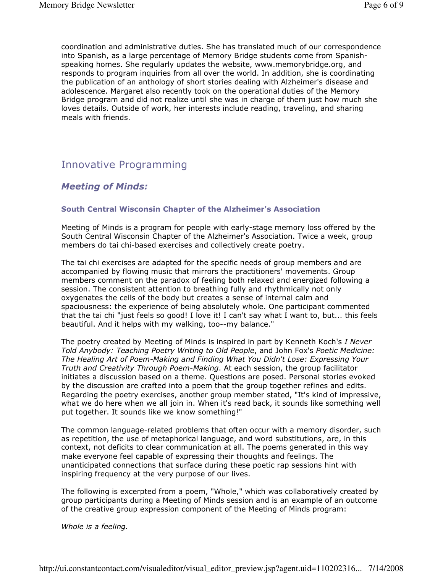coordination and administrative duties. She has translated much of our correspondence into Spanish, as a large percentage of Memory Bridge students come from Spanishspeaking homes. She regularly updates the website, www.memorybridge.org, and responds to program inquiries from all over the world. In addition, she is coordinating the publication of an anthology of short stories dealing with Alzheimer's disease and adolescence. Margaret also recently took on the operational duties of the Memory Bridge program and did not realize until she was in charge of them just how much she loves details. Outside of work, her interests include reading, traveling, and sharing meals with friends.

## Innovative Programming

## Meeting of Minds:

#### South Central Wisconsin Chapter of the Alzheimer's Association

Meeting of Minds is a program for people with early-stage memory loss offered by the South Central Wisconsin Chapter of the Alzheimer's Association. Twice a week, group members do tai chi-based exercises and collectively create poetry.

The tai chi exercises are adapted for the specific needs of group members and are accompanied by flowing music that mirrors the practitioners' movements. Group members comment on the paradox of feeling both relaxed and energized following a session. The consistent attention to breathing fully and rhythmically not only oxygenates the cells of the body but creates a sense of internal calm and spaciousness: the experience of being absolutely whole. One participant commented that the tai chi "just feels so good! I love it! I can't say what I want to, but... this feels beautiful. And it helps with my walking, too--my balance."

The poetry created by Meeting of Minds is inspired in part by Kenneth Koch's I Never Told Anybody: Teaching Poetry Writing to Old People, and John Fox's Poetic Medicine: The Healing Art of Poem-Making and Finding What You Didn't Lose: Expressing Your Truth and Creativity Through Poem-Making. At each session, the group facilitator initiates a discussion based on a theme. Questions are posed. Personal stories evoked by the discussion are crafted into a poem that the group together refines and edits. Regarding the poetry exercises, another group member stated, "It's kind of impressive, what we do here when we all join in. When it's read back, it sounds like something well put together. It sounds like we know something!"

The common language-related problems that often occur with a memory disorder, such as repetition, the use of metaphorical language, and word substitutions, are, in this context, not deficits to clear communication at all. The poems generated in this way make everyone feel capable of expressing their thoughts and feelings. The unanticipated connections that surface during these poetic rap sessions hint with inspiring frequency at the very purpose of our lives.

The following is excerpted from a poem, "Whole," which was collaboratively created by group participants during a Meeting of Minds session and is an example of an outcome of the creative group expression component of the Meeting of Minds program:

Whole is a feeling.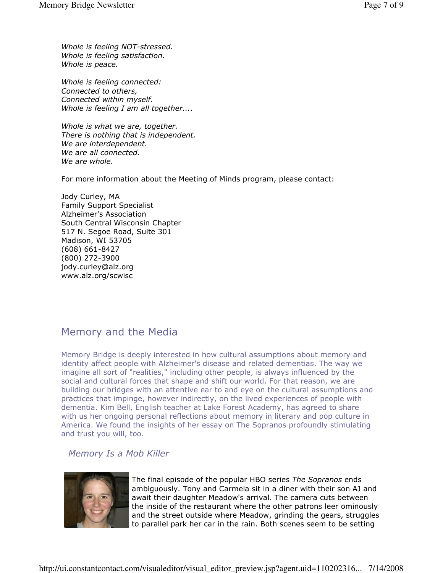Whole is feeling NOT-stressed. Whole is feeling satisfaction. Whole is peace.

Whole is feeling connected: Connected to others, Connected within myself. Whole is feeling I am all together....

Whole is what we are, together. There is nothing that is independent. We are interdependent. We are all connected. We are whole.

For more information about the Meeting of Minds program, please contact:

Jody Curley, MA Family Support Specialist Alzheimer's Association South Central Wisconsin Chapter 517 N. Segoe Road, Suite 301 Madison, WI 53705 (608) 661-8427 (800) 272-3900 jody.curley@alz.org www.alz.org/scwisc

## Memory and the Media

Memory Bridge is deeply interested in how cultural assumptions about memory and identity affect people with Alzheimer's disease and related dementias. The way we imagine all sort of "realities," including other people, is always influenced by the social and cultural forces that shape and shift our world. For that reason, we are building our bridges with an attentive ear to and eye on the cultural assumptions and practices that impinge, however indirectly, on the lived experiences of people with dementia. Kim Bell, English teacher at Lake Forest Academy, has agreed to share with us her ongoing personal reflections about memory in literary and pop culture in America. We found the insights of her essay on The Sopranos profoundly stimulating and trust you will, too.

### Memory Is a Mob Killer



The final episode of the popular HBO series The Sopranos ends ambiguously. Tony and Carmela sit in a diner with their son AJ and await their daughter Meadow's arrival. The camera cuts between the inside of the restaurant where the other patrons leer ominously and the street outside where Meadow, grinding the gears, struggles to parallel park her car in the rain. Both scenes seem to be setting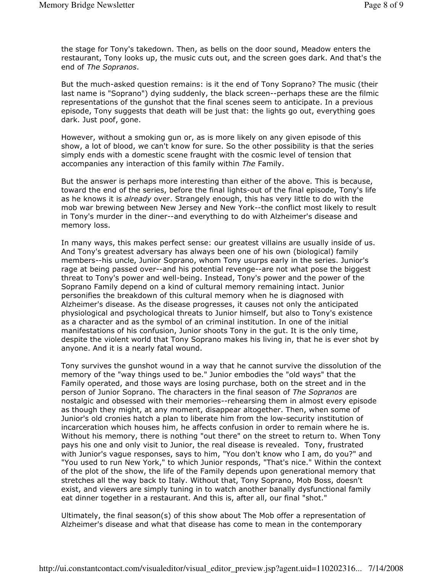the stage for Tony's takedown. Then, as bells on the door sound, Meadow enters the restaurant, Tony looks up, the music cuts out, and the screen goes dark. And that's the end of The Sopranos.

But the much-asked question remains: is it the end of Tony Soprano? The music (their last name is "Soprano") dying suddenly, the black screen--perhaps these are the filmic representations of the gunshot that the final scenes seem to anticipate. In a previous episode, Tony suggests that death will be just that: the lights go out, everything goes dark. Just poof, gone.

However, without a smoking gun or, as is more likely on any given episode of this show, a lot of blood, we can't know for sure. So the other possibility is that the series simply ends with a domestic scene fraught with the cosmic level of tension that accompanies any interaction of this family within The Family.

But the answer is perhaps more interesting than either of the above. This is because, toward the end of the series, before the final lights-out of the final episode, Tony's life as he knows it is already over. Strangely enough, this has very little to do with the mob war brewing between New Jersey and New York--the conflict most likely to result in Tony's murder in the diner--and everything to do with Alzheimer's disease and memory loss.

In many ways, this makes perfect sense: our greatest villains are usually inside of us. And Tony's greatest adversary has always been one of his own (biological) family members--his uncle, Junior Soprano, whom Tony usurps early in the series. Junior's rage at being passed over--and his potential revenge--are not what pose the biggest threat to Tony's power and well-being. Instead, Tony's power and the power of the Soprano Family depend on a kind of cultural memory remaining intact. Junior personifies the breakdown of this cultural memory when he is diagnosed with Alzheimer's disease. As the disease progresses, it causes not only the anticipated physiological and psychological threats to Junior himself, but also to Tony's existence as a character and as the symbol of an criminal institution. In one of the initial manifestations of his confusion, Junior shoots Tony in the gut. It is the only time, despite the violent world that Tony Soprano makes his living in, that he is ever shot by anyone. And it is a nearly fatal wound.

Tony survives the gunshot wound in a way that he cannot survive the dissolution of the memory of the "way things used to be." Junior embodies the "old ways" that the Family operated, and those ways are losing purchase, both on the street and in the person of Junior Soprano. The characters in the final season of The Sopranos are nostalgic and obsessed with their memories--rehearsing them in almost every episode as though they might, at any moment, disappear altogether. Then, when some of Junior's old cronies hatch a plan to liberate him from the low-security institution of incarceration which houses him, he affects confusion in order to remain where he is. Without his memory, there is nothing "out there" on the street to return to. When Tony pays his one and only visit to Junior, the real disease is revealed. Tony, frustrated with Junior's vague responses, says to him, "You don't know who I am, do you?" and "You used to run New York," to which Junior responds, "That's nice." Within the context of the plot of the show, the life of the Family depends upon generational memory that stretches all the way back to Italy. Without that, Tony Soprano, Mob Boss, doesn't exist, and viewers are simply tuning in to watch another banally dysfunctional family eat dinner together in a restaurant. And this is, after all, our final "shot."

Ultimately, the final season(s) of this show about The Mob offer a representation of Alzheimer's disease and what that disease has come to mean in the contemporary